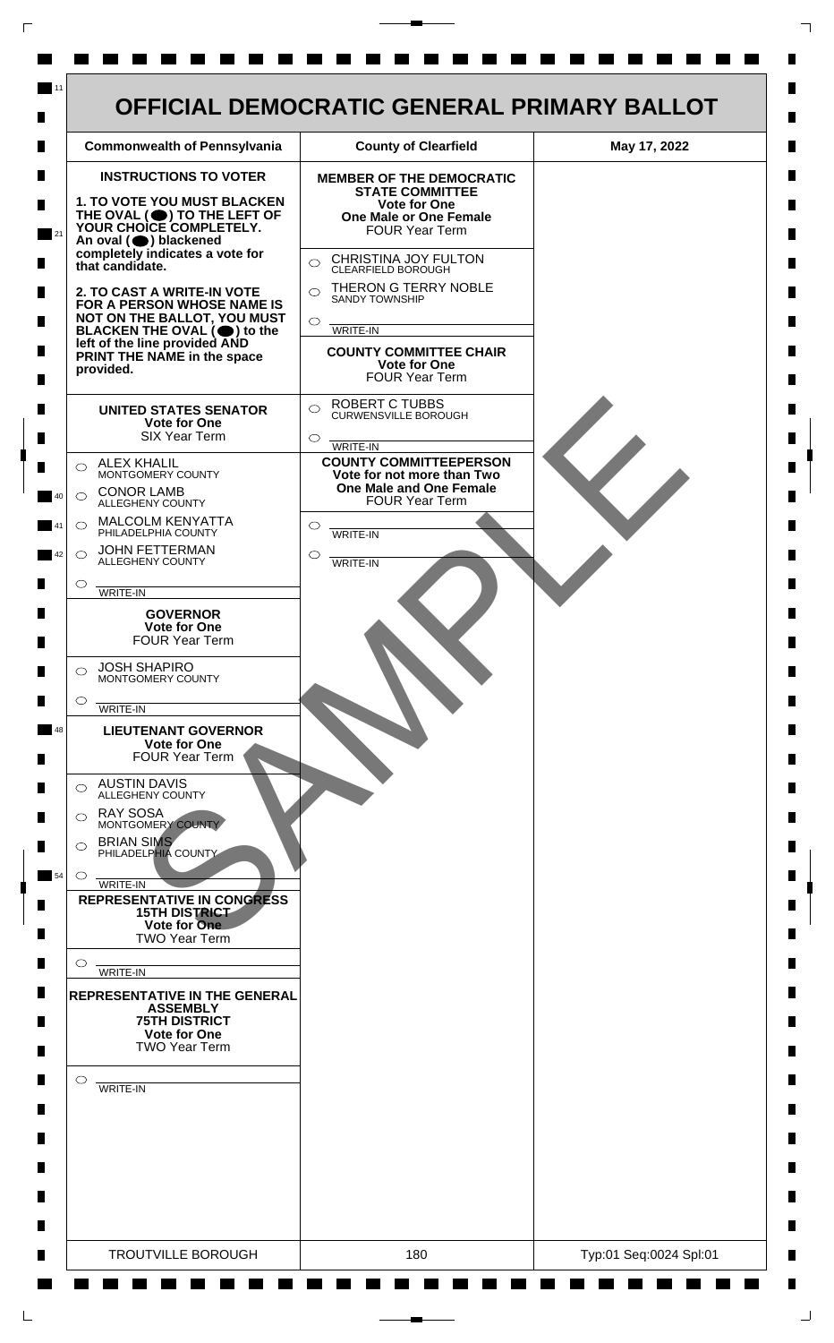

 $\mathsf{L}$